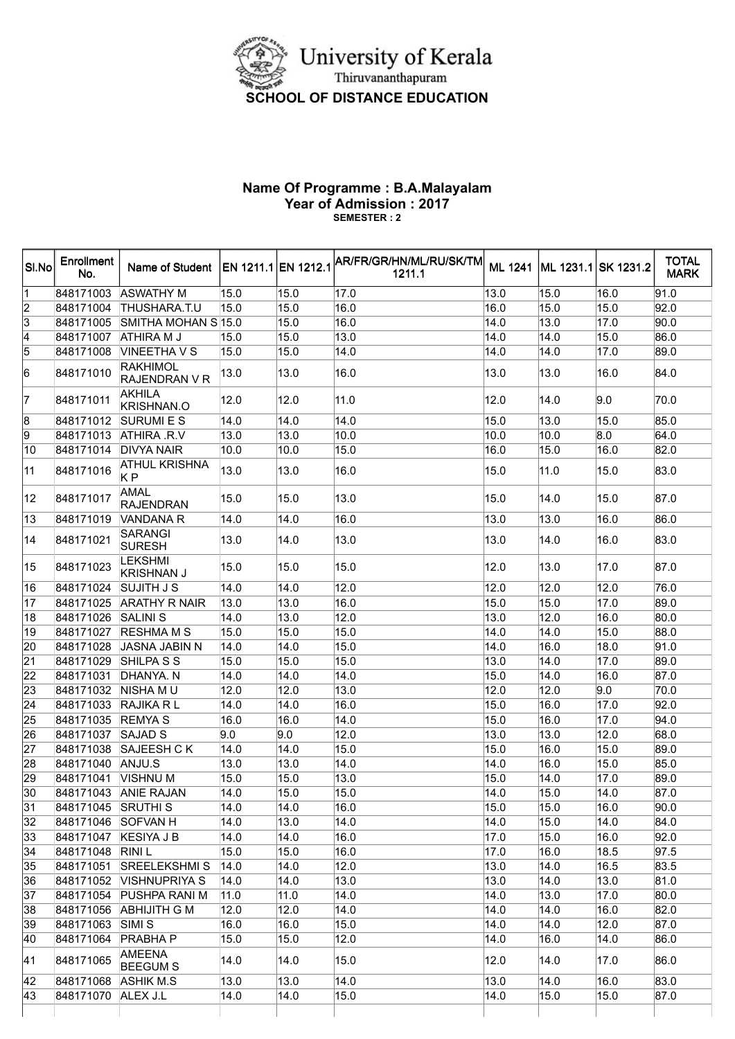

## Name Of Programme : B.A.Malayalam Year of Admission : 2017 SEMESTER : 2

| SI.No | Enrollment<br>No.    | Name of Student   EN 1211.1 EN 1212.1   |      |                   | AR/FR/GR/HN/ML/RU/SK/TM<br>1211.1 |      |                   | ML 1241 ML 1231.1 SK 1231.2 | <b>TOTAL</b><br><b>MARK</b> |
|-------|----------------------|-----------------------------------------|------|-------------------|-----------------------------------|------|-------------------|-----------------------------|-----------------------------|
|       | 848171003            | <b>ASWATHY M</b>                        | 15.0 | 15.0              | 17.0                              | 13.0 | 15.0              | 16.0                        | 91.0                        |
| 2     | 848171004            | THUSHARA.T.U                            | 15.0 | 15.0              | 16.0                              | 16.0 | 15.0              | 15.0                        | 92.0                        |
| 3     | 848171005            | SMITHA MOHAN S 15.0                     |      | 15.0              | 16.0                              | 14.0 | 13.0              | 17.0                        | 90.0                        |
| 4     | 848171007            | <b>ATHIRA M J</b>                       | 15.0 | 15.0              | 13.0                              | 14.0 | 14.0              | 15.0                        | $\overline{86.0}$           |
| 5     | 848171008            | VINEETHA V S                            | 15.0 | 15.0              | 14.0                              | 14.0 | 14.0              | 17.0                        | 89.0                        |
| 16    | 848171010            | <b>RAKHIMOL</b><br><b>RAJENDRAN V R</b> | 13.0 | 13.0              | 16.0                              | 13.0 | 13.0              | 16.0                        | 84.0                        |
| 17    | 848171011            | <b>AKHILA</b><br><b>KRISHNAN.O</b>      | 12.0 | 12.0              | 11.0                              | 12.0 | 14.0              | 9.0                         | 70.0                        |
| 18    | 848171012            | <b>SURUMI E S</b>                       | 14.0 | 14.0              | 14.0                              | 15.0 | 13.0              | 15.0                        | 85.0                        |
| 19    | 848171013            | ATHIRA .R.V                             | 13.0 | 13.0              | 10.0                              | 10.0 | 10.0              | 8.0                         | 64.0                        |
| 10    | 848171014            | <b>DIVYA NAIR</b>                       | 10.0 | 10.0              | 15.0                              | 16.0 | 15.0              | 16.0                        | 82.0                        |
| 11    | 848171016            | <b>ATHUL KRISHNA</b><br>K P             | 13.0 | 13.0              | 16.0                              | 15.0 | 11.0              | 15.0                        | 83.0                        |
| 12    | 848171017            | <b>AMAL</b><br><b>RAJENDRAN</b>         | 15.0 | 15.0              | 13.0                              | 15.0 | 14.0              | 15.0                        | 87.0                        |
| 13    | 848171019            | VANDANA R                               | 14.0 | $\overline{1}4.0$ | 16.0                              | 13.0 | 13.0              | 16.0                        | 86.0                        |
| 14    | 848171021            | <b>SARANGI</b><br><b>SURESH</b>         | 13.0 | 14.0              | 13.0                              | 13.0 | 14.0              | 16.0                        | 83.0                        |
| 15    | 848171023            | <b>LEKSHMI</b><br><b>KRISHNAN J</b>     | 15.0 | 15.0              | 15.0                              | 12.0 | 13.0              | 17.0                        | 87.0                        |
| 16    | 848171024            | <b>SUJITH J S</b>                       | 14.0 | 14.0              | 12.0                              | 12.0 | 12.0              | 12.0                        | 76.0                        |
| 17    | 848171025            | <b>ARATHY R NAIR</b>                    | 13.0 | 13.0              | 16.0                              | 15.0 | 15.0              | 17.0                        | 89.0                        |
| 18    | 848171026            | <b>SALINIS</b>                          | 14.0 | 13.0              | 12.0                              | 13.0 | 12.0              | 16.0                        | 80.0                        |
| 19    | 848171027            | <b>RESHMA M S</b>                       | 15.0 | 15.0              | 15.0                              | 14.0 | 14.0              | 15.0                        | 88.0                        |
| 20    | 848171028            | JASNA JABIN N                           | 14.0 | 14.0              | 15.0                              | 14.0 | 16.0              | 18.0                        | 91.0                        |
| 21    | 848171029            | SHILPA S S                              | 15.0 | 15.0              | 15.0                              | 13.0 | 14.0              | 17.0                        | 89.0                        |
| 22    | 848171031            | DHANYA. N                               | 14.0 | 14.0              | 14.0                              | 15.0 | 14.0              | 16.0                        | 87.0                        |
| 23    | 848171032 NISHA MU   |                                         | 12.0 | 12.0              | 13.0                              | 12.0 | 12.0              | 9.0                         | 70.0                        |
| 24    | 848171033 RAJIKA R L |                                         | 14.0 | 14.0              | 16.0                              | 15.0 | 16.0              | 17.0                        | 92.0                        |
| 25    | 848171035            | <b>REMYAS</b>                           | 16.0 | 16.0              | 14.0                              | 15.0 | $\overline{16.0}$ | 17.0                        | 94.0                        |
| 26    | 848171037            | <b>SAJAD S</b>                          | 9.0  | 9.0               | 12.0                              | 13.0 | 13.0              | 12.0                        | 68.0                        |
| 27    | 848171038            | SAJEESH CK                              | 14.0 | 14.0              | 15.0                              | 15.0 | 16.0              | 15.0                        | 89.0                        |
| 28    | 848171040 ANJU.S     |                                         | 13.0 | 13.0              | 14.0                              | 14.0 | 16.0              | 15.0                        | 85.0                        |
| 29    | 848171041            | <b>VISHNUM</b>                          | 15.0 | 15.0              | 13.0                              | 15.0 | 14.0              | 17.0                        | 89.0                        |
| 30    |                      | 848171043 ANIE RAJAN                    | 14.0 | 15.0              | 15.0                              | 14.0 | 15.0              | 14.0                        | 87.0                        |
| 31    | 848171045 SRUTHI S   |                                         | 14.0 | 14.0              | 16.0                              | 15.0 | 15.0              | 16.0                        | 90.0                        |
| 32    | 848171046 SOFVAN H   |                                         | 14.0 | 13.0              | 14.0                              | 14.0 | 15.0              | 14.0                        | 84.0                        |
| 33    | 848171047 KESIYA J B |                                         | 14.0 | 14.0              | 16.0                              | 17.0 | 15.0              | 16.0                        | 92.0                        |
| 34    | 848171048 RINIL      |                                         | 15.0 | 15.0              | 16.0                              | 17.0 | 16.0              | 18.5                        | 97.5                        |
| 35    | 848171051            | <b>SREELEKSHMI S</b>                    | 14.0 | 14.0              | 12.0                              | 13.0 | 14.0              | 16.5                        | 83.5                        |
| 36    | 848171052            | <b>VISHNUPRIYA S</b>                    | 14.0 | 14.0              | 13.0                              | 13.0 | 14.0              | 13.0                        | 81.0                        |
| 37    |                      | 848171054 PUSHPA RANI M                 | 11.0 | 11.0              | 14.0                              | 14.0 | 13.0              | 17.0                        | 80.0                        |
| 38    | 848171056            | <b>ABHIJITH G M</b>                     | 12.0 | 12.0              | 14.0                              | 14.0 | 14.0              | 16.0                        | 82.0                        |
| 39    | 848171063            | SIMI <sub>S</sub>                       | 16.0 | 16.0              | 15.0                              | 14.0 | 14.0              | 12.0                        | 87.0                        |
| 40    | 848171064 PRABHA P   |                                         | 15.0 | 15.0              | 12.0                              | 14.0 | 16.0              | 14.0                        | 86.0                        |
| 41    | 848171065            | AMEENA<br><b>BEEGUM S</b>               | 14.0 | 14.0              | 15.0                              | 12.0 | 14.0              | 17.0                        | 86.0                        |
| 42    | 848171068 ASHIK M.S  |                                         | 13.0 | 13.0              | 14.0                              | 13.0 | 14.0              | 16.0                        | 83.0                        |
| 43    | 848171070            | ALEX J.L                                | 14.0 | 14.0              | 15.0                              | 14.0 | 15.0              | 15.0                        | 87.0                        |
|       |                      |                                         |      |                   |                                   |      |                   |                             |                             |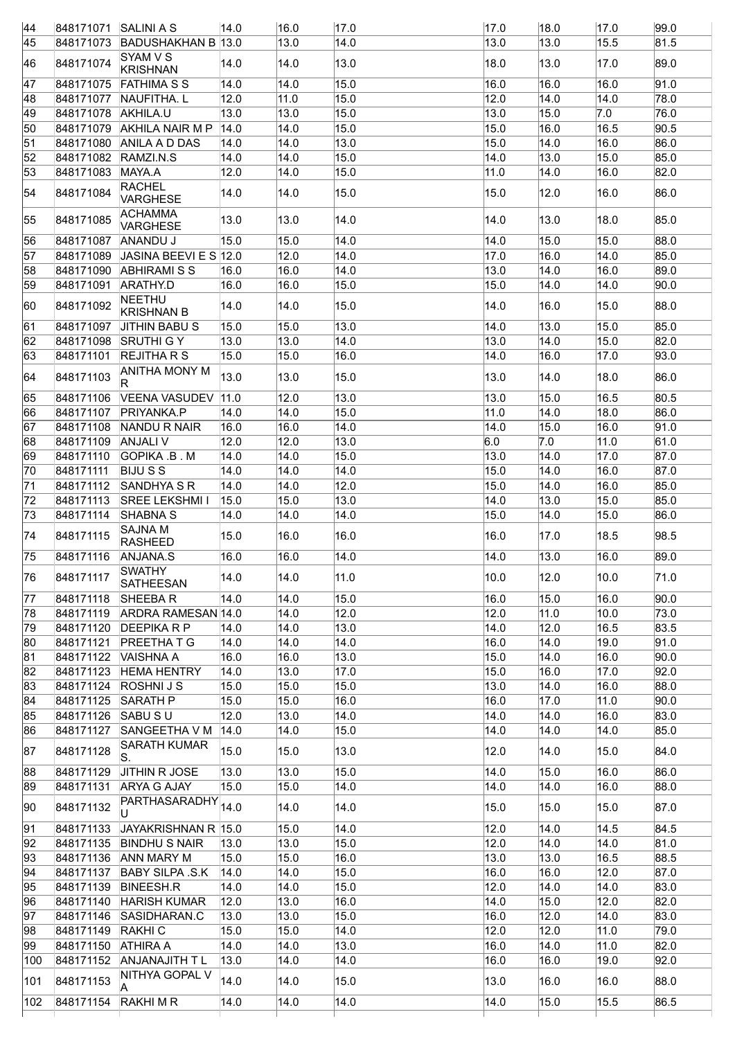| 44       | 848171071 SALINI A S |                                    | 14.0 | 16.0 | 17.0 | 17.0 | 18.0             | 17.0             | 99.0 |
|----------|----------------------|------------------------------------|------|------|------|------|------------------|------------------|------|
| 45       | 848171073            | BADUSHAKHAN B 13.0                 |      | 13.0 | 14.0 | 13.0 | 13.0             | 15.5             | 81.5 |
|          |                      | SYAM V S                           | 14.0 | 14.0 | 13.0 | 18.0 |                  | 17.0             | 89.0 |
| 46       | 848171074            | <b>KRISHNAN</b>                    |      |      |      |      | 13.0             |                  |      |
| 47       | 848171075            | <b>FATHIMA S S</b>                 | 14.0 | 14.0 | 15.0 | 16.0 | 16.0             | 16.0             | 91.0 |
| 48       | 848171077            | NAUFITHA. L                        | 12.0 | 11.0 | 15.0 | 12.0 | 14.0             | 14.0             | 78.0 |
| 49       | 848171078            | AKHILA.U                           | 13.0 | 13.0 | 15.0 | 13.0 | 15.0             | $\overline{7.0}$ | 76.0 |
| 50       | 848171079            | <b>AKHILA NAIR M P</b>             | 14.0 | 14.0 | 15.0 | 15.0 | 16.0             | 16.5             | 90.5 |
| 51       | 848171080            | ANILA A D DAS                      | 14.0 | 14.0 | 13.0 | 15.0 | 14.0             | 16.0             | 86.0 |
| 52       | 848171082            | RAMZI.N.S                          | 14.0 | 14.0 | 15.0 | 14.0 | 13.0             | 15.0             | 85.0 |
| 53       | 848171083            | MAYA.A                             | 12.0 | 14.0 | 15.0 | 11.0 | 14.0             | 16.0             | 82.0 |
| 54       | 848171084            | <b>RACHEL</b><br><b>VARGHESE</b>   | 14.0 | 14.0 | 15.0 | 15.0 | 12.0             | 16.0             | 86.0 |
| 55       | 848171085            | ACHAMMA<br><b>VARGHESE</b>         | 13.0 | 13.0 | 14.0 | 14.0 | 13.0             | 18.0             | 85.0 |
| l56      | 848171087            | ANANDU J                           | 15.0 | 15.0 | 14.0 | 14.0 | 15.0             | 15.0             | 88.0 |
| 57       | 848171089            | JASINA BEEVI E S $12.0$            |      | 12.0 | 14.0 | 17.0 | 16.0             | 14.0             | 85.0 |
| 58       |                      | 848171090 ABHIRAMI S S             | 16.0 | 16.0 | 14.0 | 13.0 | 14.0             | 16.0             | 89.0 |
| 59       | 848171091            | ARATHY.D                           | 16.0 | 16.0 | 15.0 | 15.0 | 14.0             | 14.0             | 90.0 |
| 60       | 848171092            | <b>NEETHU</b><br><b>KRISHNAN B</b> | 14.0 | 14.0 | 15.0 | 14.0 | 16.0             | 15.0             | 88.0 |
| 61       | 848171097            | <b>JITHIN BABU S</b>               | 15.0 | 15.0 | 13.0 | 14.0 | 13.0             | 15.0             | 85.0 |
| 62       | 848171098            | <b>SRUTHI G Y</b>                  | 13.0 | 13.0 | 14.0 | 13.0 | 14.0             | 15.0             | 82.0 |
| 63       | 848171101            | <b>REJITHA R S</b>                 | 15.0 | 15.0 | 16.0 | 14.0 | 16.0             | 17.0             | 93.0 |
| 64       | 848171103            | ANITHA MONY M<br>R.                | 13.0 | 13.0 | 15.0 | 13.0 | 14.0             | 18.0             | 86.0 |
| 65       | 848171106            | VEENA VASUDEV 11.0                 |      | 12.0 | 13.0 | 13.0 | 15.0             | 16.5             | 80.5 |
| 66       | 848171107            | PRIYANKA.P                         | 14.0 | 14.0 | 15.0 | 11.0 | 14.0             | 18.0             | 86.0 |
| 67       | 848171108            | NANDU R NAIR                       | 16.0 | 16.0 | 14.0 | 14.0 | 15.0             | 16.0             | 91.0 |
| 68       | 848171109            | <b>ANJALI V</b>                    | 12.0 | 12.0 | 13.0 | 6.0  | $\overline{7.0}$ | 11.0             | 61.0 |
| 69       | 848171110            | <b>GOPIKA .B. M</b>                | 14.0 | 14.0 | 15.0 | 13.0 | 14.0             | 17.0             | 87.0 |
| 70       | 848171111            | <b>BIJUSS</b>                      | 14.0 | 14.0 | 14.0 | 15.0 | 14.0             | 16.0             | 87.0 |
| 71       | 848171112            | SANDHYA S R                        | 14.0 | 14.0 | 12.0 | 15.0 | 14.0             | 16.0             | 85.0 |
| 72       | 848171113            | <b>SREE LEKSHMI I</b>              | 15.0 | 15.0 | 13.0 | 14.0 | 13.0             | 15.0             | 85.0 |
| 73       | 848171114            | <b>SHABNA S</b>                    | 14.0 | 14.0 | 14.0 | 15.0 | 14.0             | 15.0             | 86.0 |
| 74       | 848171115            | <b>SAJNA M</b><br><b>RASHEED</b>   | 15.0 | 16.0 | 16.0 | 16.0 | 17.0             | 18.5             | 98.5 |
| 75       | 848171116            | ANJANA.S                           | 16.0 | 16.0 | 14.0 | 14.0 | 13.0             | 16.0             | 89.0 |
| 176      | 848171117            | <b>SWATHY</b><br>SATHEESAN         | 14.0 | 14.0 | 11.0 | 10.0 | 12.0             | 10.0             | 71.0 |
|          | 848171118            | SHEEBAR                            | 14.0 | 14.0 | 15.0 | 16.0 | 15.0             | 16.0             | 90.0 |
| 77<br>78 | 848171119            | ARDRA RAMESAN 14.0                 |      | 14.0 | 12.0 | 12.0 | 11.0             | 10.0             | 73.0 |
|          |                      |                                    |      |      |      |      |                  |                  |      |
| 79       | 848171120            | <b>DEEPIKA R P</b>                 | 14.0 | 14.0 | 13.0 | 14.0 | 12.0             | 16.5             | 83.5 |
| 80       | 848171121            | <b>PREETHATG</b>                   | 14.0 | 14.0 | 14.0 | 16.0 | 14.0             | 19.0             | 91.0 |
| 81       | 848171122            | <b>VAISHNA A</b>                   | 16.0 | 16.0 | 13.0 | 15.0 | 14.0             | 16.0             | 90.0 |
| 82       | 848171123            | <b>HEMA HENTRY</b>                 | 14.0 | 13.0 | 17.0 | 15.0 | 16.0             | 17.0             | 92.0 |
| 83       | 848171124            | <b>ROSHNIJS</b>                    | 15.0 | 15.0 | 15.0 | 13.0 | 14.0             | 16.0             | 88.0 |
| 84       | 848171125            | <b>SARATH P</b>                    | 15.0 | 15.0 | 16.0 | 16.0 | 17.0             | 11.0             | 90.0 |
| 85       | 848171126            | SABUSU                             | 12.0 | 13.0 | 14.0 | 14.0 | 14.0             | 16.0             | 83.0 |
| 86       | 848171127            | SANGEETHA V M                      | 14.0 | 14.0 | 15.0 | 14.0 | 14.0             | 14.0             | 85.0 |
| 87       | 848171128            | <b>SARATH KUMAR</b><br>S.          | 15.0 | 15.0 | 13.0 | 12.0 | 14.0             | 15.0             | 84.0 |
| 88       | 848171129            | JITHIN R JOSE                      | 13.0 | 13.0 | 15.0 | 14.0 | 15.0             | 16.0             | 86.0 |
| 89       | 848171131            | ARYA G AJAY                        | 15.0 | 15.0 | 14.0 | 14.0 | 14.0             | 16.0             | 88.0 |
| 90       | 848171132            | PARTHASARADHY <sub>14.0</sub><br>U |      | 14.0 | 14.0 | 15.0 | 15.0             | 15.0             | 87.0 |
| 91       | 848171133            | JAYAKRISHNAN R 15.0                |      | 15.0 | 14.0 | 12.0 | 14.0             | 14.5             | 84.5 |
| 92       | 848171135            | <b>BINDHU S NAIR</b>               | 13.0 | 13.0 | 15.0 | 12.0 | 14.0             | 14.0             | 81.0 |
| 93       | 848171136            | ANN MARY M                         | 15.0 | 15.0 | 16.0 | 13.0 | 13.0             | 16.5             | 88.5 |
| 94       | 848171137            | <b>BABY SILPA .S.K</b>             | 14.0 | 14.0 | 15.0 | 16.0 | 16.0             | 12.0             | 87.0 |
| 95       | 848171139            | <b>BINEESH.R</b>                   | 14.0 | 14.0 | 15.0 | 12.0 | 14.0             | 14.0             | 83.0 |
| 96       | 848171140            | <b>HARISH KUMAR</b>                | 12.0 | 13.0 | 16.0 | 14.0 | 15.0             | 12.0             | 82.0 |
| 97       | 848171146            | SASIDHARAN.C                       | 13.0 | 13.0 | 15.0 | 16.0 | 12.0             | 14.0             | 83.0 |
| 98       | 848171149            | <b>RAKHI C</b>                     | 15.0 | 15.0 | 14.0 | 12.0 | 12.0             | 11.0             | 79.0 |
| 99       | 848171150            | <b>ATHIRA A</b>                    | 14.0 | 14.0 | 13.0 | 16.0 | 14.0             | 11.0             | 82.0 |
| 100      | 848171152            | ANJANAJITH T L                     | 13.0 | 14.0 | 14.0 | 16.0 | 16.0             | 19.0             | 92.0 |
| 101      | 848171153            | NITHYA GOPAL V<br>A                | 14.0 | 14.0 | 15.0 | 13.0 | 16.0             | 16.0             | 88.0 |
|          |                      | <b>RAKHIMR</b>                     | 14.0 | 14.0 | 14.0 | 14.0 | 15.0             | 15.5             | 86.5 |
| 102      | 848171154            |                                    |      |      |      |      |                  |                  |      |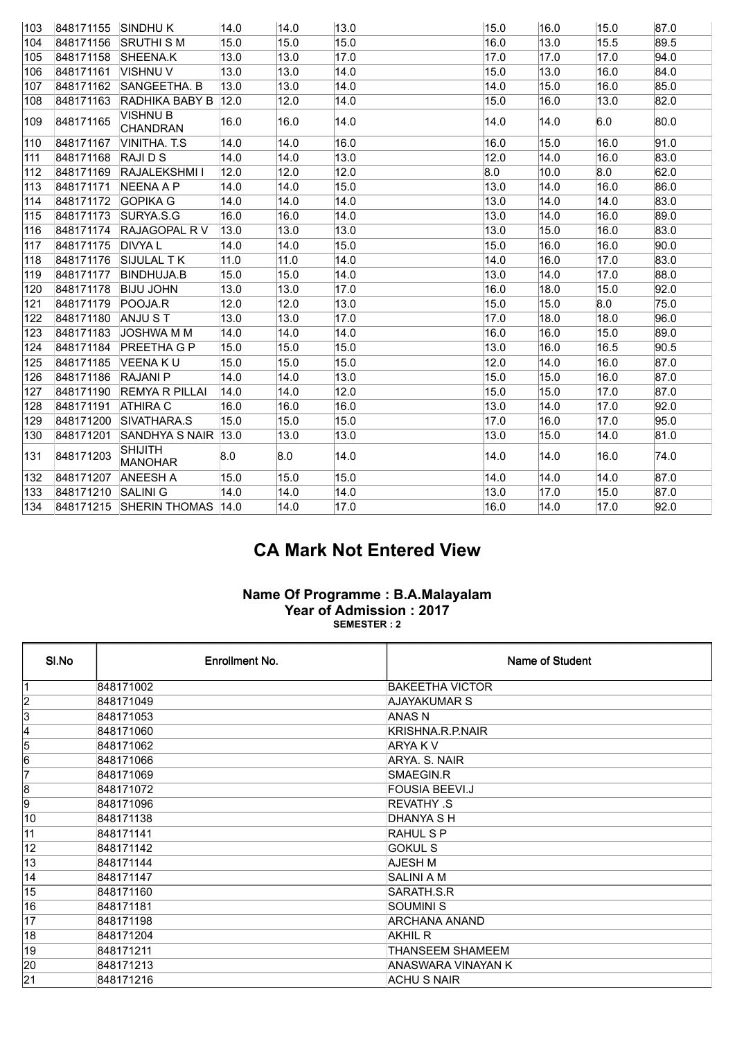| 103              | 848171155 | <b>SINDHUK</b>                   | 14.0 | 14.0 | 13.0 | 15.0 | 16.0 | 15.0 | 87.0              |
|------------------|-----------|----------------------------------|------|------|------|------|------|------|-------------------|
| 104              | 848171156 | <b>SRUTHI SM</b>                 | 15.0 | 15.0 | 15.0 | 16.0 | 13.0 | 15.5 | 89.5              |
| 105              | 848171158 | SHEENA.K                         | 13.0 | 13.0 | 17.0 | 17.0 | 17.0 | 17.0 | 94.0              |
| 106              | 848171161 | VISHNU V                         | 13.0 | 13.0 | 14.0 | 15.0 | 13.0 | 16.0 | 84.0              |
| 107              | 848171162 | <b>SANGEETHA, B</b>              | 13.0 | 13.0 | 14.0 | 14.0 | 15.0 | 16.0 | 85.0              |
| 108              | 848171163 | RADHIKA BABY B                   | 12.0 | 12.0 | 14.0 | 15.0 | 16.0 | 13.0 | 82.0              |
| 109              | 848171165 | <b>VISHNU B</b><br>CHANDRAN      | 16.0 | 16.0 | 14.0 | 14.0 | 14.0 | 6.0  | 80.0              |
| 110              | 848171167 | VINITHA, T.S.                    | 14.0 | 14.0 | 16.0 | 16.0 | 15.0 | 16.0 | 91.0              |
| 111              | 848171168 | RAJI D S                         | 14.0 | 14.0 | 13.0 | 12.0 | 14.0 | 16.0 | 83.0              |
| $\overline{11}2$ | 848171169 | <b>RAJALEKSHMI I</b>             | 12.0 | 12.0 | 12.0 | 8.0  | 10.0 | 8.0  | 62.0              |
| 113              | 848171171 | <b>NEENA A P</b>                 | 14.0 | 14.0 | 15.0 | 13.0 | 14.0 | 16.0 | 86.0              |
| 114              | 848171172 | <b>GOPIKA G</b>                  | 14.0 | 14.0 | 14.0 | 13.0 | 14.0 | 14.0 | 83.0              |
| 115              | 848171173 | SURYA.S.G                        | 16.0 | 16.0 | 14.0 | 13.0 | 14.0 | 16.0 | 89.0              |
| 116              | 848171174 | <b>RAJAGOPAL RV</b>              | 13.0 | 13.0 | 13.0 | 13.0 | 15.0 | 16.0 | 83.0              |
| 117              | 848171175 | <b>DIVYAL</b>                    | 14.0 | 14.0 | 15.0 | 15.0 | 16.0 | 16.0 | 90.0              |
| 118              | 848171176 | <b>SIJULAL TK</b>                | 11.0 | 11.0 | 14.0 | 14.0 | 16.0 | 17.0 | 83.0              |
| 119              | 848171177 | <b>BINDHUJA.B</b>                | 15.0 | 15.0 | 14.0 | 13.0 | 14.0 | 17.0 | 88.0              |
| 120              | 848171178 | <b>BIJU JOHN</b>                 | 13.0 | 13.0 | 17.0 | 16.0 | 18.0 | 15.0 | 92.0              |
| 121              | 848171179 | POOJA.R                          | 12.0 | 12.0 | 13.0 | 15.0 | 15.0 | 8.0  | 75.0              |
| 122              | 848171180 | ANJU ST                          | 13.0 | 13.0 | 17.0 | 17.0 | 18.0 | 18.0 | 96.0              |
| 123              | 848171183 | JOSHWA M M                       | 14.0 | 14.0 | 14.0 | 16.0 | 16.0 | 15.0 | 89.0              |
| 124              | 848171184 | <b>PREETHA G P</b>               | 15.0 | 15.0 | 15.0 | 13.0 | 16.0 | 16.5 | 90.5              |
| 125              | 848171185 | IVEENA K U                       | 15.0 | 15.0 | 15.0 | 12.0 | 14.0 | 16.0 | 87.0              |
| 126              | 848171186 | <b>RAJANI P</b>                  | 14.0 | 14.0 | 13.0 | 15.0 | 15.0 | 16.0 | 87.0              |
| 127              | 848171190 | <b>REMYA R PILLAI</b>            | 14.0 | 14.0 | 12.0 | 15.0 | 15.0 | 17.0 | 87.0              |
| 128              | 848171191 | <b>ATHIRA C</b>                  | 16.0 | 16.0 | 16.0 | 13.0 | 14.0 | 17.0 | 92.0              |
| 129              | 848171200 | SIVATHARA.S                      | 15.0 | 15.0 | 15.0 | 17.0 | 16.0 | 17.0 | 95.0              |
| 130              | 848171201 | SANDHYA S NAIR                   | 13.0 | 13.0 | 13.0 | 13.0 | 15.0 | 14.0 | 81.0              |
| 131              | 848171203 | <b>SHIJITH</b><br><b>MANOHAR</b> | 8.0  | 8.0  | 14.0 | 14.0 | 14.0 | 16.0 | 74.0              |
| 132              | 848171207 | <b>ANEESH A</b>                  | 15.0 | 15.0 | 15.0 | 14.0 | 14.0 | 14.0 | 87.0              |
| $\overline{133}$ | 848171210 | <b>SALINI G</b>                  | 14.0 | 14.0 | 14.0 | 13.0 | 17.0 | 15.0 | $\overline{87.0}$ |
| 134              | 848171215 | SHERIN THOMAS 14.0               |      | 14.0 | 17.0 | 16.0 | 14.0 | 17.0 | 92.0              |

## CA Mark Not Entered View

## Name Of Programme : B.A.Malayalam Year of Admission : 2017 SEMESTER : 2

| SI.No           | Enrollment No. | Name of Student        |
|-----------------|----------------|------------------------|
| 1               | 848171002      | <b>BAKEETHA VICTOR</b> |
| 2               | 848171049      | AJAYAKUMAR S           |
| $\overline{3}$  | 848171053      | <b>ANAS N</b>          |
| 4               | 848171060      | KRISHNA.R.P.NAIR       |
| 5               | 848171062      | <b>ARYAK V</b>         |
| $\overline{6}$  | 848171066      | ARYA. S. NAIR          |
| 7               | 848171069      | SMAEGIN.R              |
| 8               | 848171072      | <b>FOUSIA BEEVI.J</b>  |
| 9               | 848171096      | <b>REVATHY .S</b>      |
| 10              | 848171138      | DHANYA S H             |
| $\overline{11}$ | 848171141      | <b>RAHUL S P</b>       |
| $\overline{12}$ | 848171142      | <b>GOKUL S</b>         |
| 13              | 848171144      | AJESH M                |
| $\overline{14}$ | 848171147      | <b>SALINI A M</b>      |
| $\overline{15}$ | 848171160      | SARATH.S.R             |
| 16              | 848171181      | <b>SOUMINI S</b>       |
| $\overline{17}$ | 848171198      | ARCHANA ANAND          |
| 18              | 848171204      | <b>AKHIL R</b>         |
| $\overline{19}$ | 848171211      | THANSEEM SHAMEEM       |
| 20              | 848171213      | ANASWARA VINAYAN K     |
| 21              | 848171216      | <b>ACHU S NAIR</b>     |